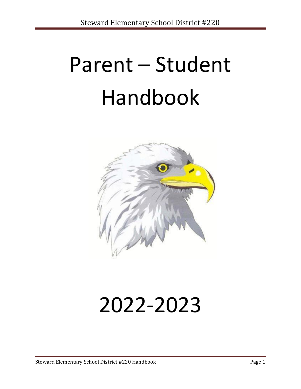# Parent – Student Handbook



## 2022-2023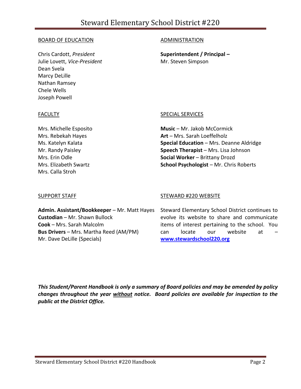### BOARD OF EDUCATION

Chris Cardott, *President* Julie Lovett, *Vice-President* Dean Svela Marcy DeLille Nathan Ramsey Chele Wells Joseph Powell

### ADMINISTRATION

**Superintendent / Principal –** Mr. Steven Simpson

### **FACULTY**

Mrs. Michelle Esposito Mrs. Rebekah Hayes Ms. Katelyn Kalata Mr. Randy Paisley Mrs. Erin Odle Mrs. Elizabeth Swartz Mrs. Calla Stroh

### SPECIAL SERVICES

**Music** – Mr. Jakob McCormick **Art** – Mrs. Sarah Loeffelholz **Special Education** – Mrs. Deanne Aldridge **Speech Therapist** – Mrs. Lisa Johnson **Social Worker** – Brittany Drozd **School Psychologist** – Mr. Chris Roberts

### SUPPORT STAFF

**Custodian** – Mr. Shawn Bullock **Cook** – Mrs. Sarah Malcolm

Mr. Dave DeLille (Specials)

**Bus Drivers** – Mrs. Martha Reed (AM/PM)

### STEWARD #220 WEBSITE

**Admin. Assistant/Bookkeeper** – Mr. Matt Hayes Steward Elementary School District continues to evolve its website to share and communicate items of interest pertaining to the school. You can locate our website at **[www.stewardschool220.org](http://www.google.com/url?q=http%3A%2F%2Fwww.stewardschool220.org&sa=D&sntz=1&usg=AFQjCNHgzl4scL4LwM_pko7l9ASp37kVCQ)**

*This Student/Parent Handbook is only a summary of Board policies and may be amended by policy changes throughout the year without notice. Board policies are available for inspection to the public at the District Office.*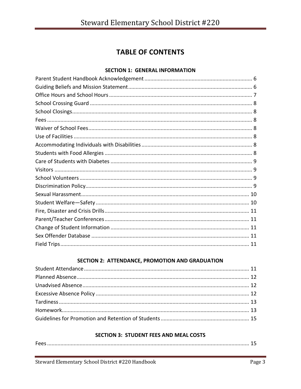### **TABLE OF CONTENTS**

### **SECTION 1: GENERAL INFORMATION**

### SECTION 2: ATTENDANCE, PROMOTION AND GRADUATION

### **SECTION 3: STUDENT FEES AND MEAL COSTS**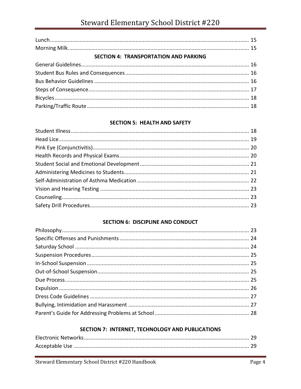| <b>SECTION 4: TRANSPORTATION AND PARKING</b> |  |
|----------------------------------------------|--|
|                                              |  |
|                                              |  |
|                                              |  |
|                                              |  |
|                                              |  |
|                                              |  |

### **SECTION 5: HEALTH AND SAFETY**

### **SECTION 6: DISCIPLINE AND CONDUCT**

### SECTION 7: INTERNET, TECHNOLOGY AND PUBLICATIONS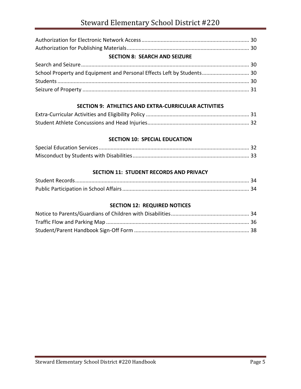| <b>SECTION 8: SEARCH AND SEIZURE</b>                                   |  |
|------------------------------------------------------------------------|--|
|                                                                        |  |
| School Property and Equipment and Personal Effects Left by Students 30 |  |
|                                                                        |  |
|                                                                        |  |

### **SECTION 9: ATHLETICS AND EXTRA-CURRICULAR ACTIVITIES**

### **SECTION 10: SPECIAL EDUCATION**

### **SECTION 11: STUDENT RECORDS AND PRIVACY**

### **SECTION 12: REQUIRED NOTICES**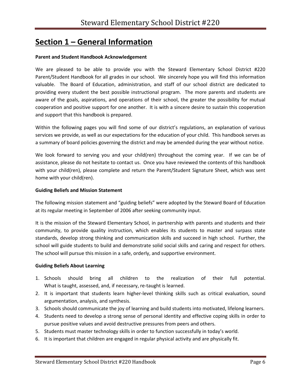### **Section 1 – General Information**

### **Parent and Student Handbook Acknowledgement**

We are pleased to be able to provide you with the Steward Elementary School District #220 Parent/Student Handbook for all grades in our school. We sincerely hope you will find this information valuable. The Board of Education, administration, and staff of our school district are dedicated to providing every student the best possible instructional program. The more parents and students are aware of the goals, aspirations, and operations of their school, the greater the possibility for mutual cooperation and positive support for one another. It is with a sincere desire to sustain this cooperation and support that this handbook is prepared.

Within the following pages you will find some of our district's regulations, an explanation of various services we provide, as well as our expectations for the education of your child. This handbook serves as a summary of board policies governing the district and may be amended during the year without notice.

We look forward to serving you and your child(ren) throughout the coming year. If we can be of assistance, please do not hesitate to contact us. Once you have reviewed the contents of this handbook with your child(ren), please complete and return the Parent/Student Signature Sheet, which was sent home with your child(ren).

### **Guiding Beliefs and Mission Statement**

The following mission statement and "guiding beliefs" were adopted by the Steward Board of Education at its regular meeting in September of 2006 after seeking community input.

It is the mission of the Steward Elementary School, in partnership with parents and students and their community, to provide quality instruction, which enables its students to master and surpass state standards, develop strong thinking and communication skills and succeed in high school. Further, the school will guide students to build and demonstrate solid social skills and caring and respect for others. The school will pursue this mission in a safe, orderly, and supportive environment.

### **Guiding Beliefs About Learning**

- 1. Schools should bring all children to the realization of their full potential. What is taught, assessed, and, if necessary, re-taught is learned.
- 2. It is important that students learn higher-level thinking skills such as critical evaluation, sound argumentation, analysis, and synthesis.
- 3. Schools should communicate the joy of learning and build students into motivated, lifelong learners.
- 4. Students need to develop a strong sense of personal identity and effective coping skills in order to pursue positive values and avoid destructive pressures from peers and others.
- 5. Students must master technology skills in order to function successfully in today's world.
- 6. It is important that children are engaged in regular physical activity and are physically fit.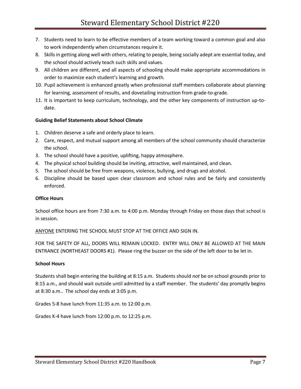- 7. Students need to learn to be effective members of a team working toward a common goal and also to work independently when circumstances require it.
- 8. Skills in getting along well with others, relating to people, being socially adept are essential today, and the school should actively teach such skills and values.
- 9. All children are different, and all aspects of schooling should make appropriate accommodations in order to maximize each student's learning and growth.
- 10. Pupil achievement is enhanced greatly when professional staff members collaborate about planning for learning, assessment of results, and dovetailing instruction from grade-to-grade.
- 11. It is important to keep curriculum, technology, and the other key components of instruction up-todate.

### **Guiding Belief Statements about School Climate**

- 1. Children deserve a safe and orderly place to learn.
- 2. Care, respect, and mutual support among all members of the school community should characterize the school.
- 3. The school should have a positive, uplifting, happy atmosphere.
- 4. The physical school building should be inviting, attractive, well maintained, and clean.
- 5. The school should be free from weapons, violence, bullying, and drugs and alcohol.
- 6. Discipline should be based upon clear classroom and school rules and be fairly and consistently enforced.

### **Office Hours**

School office hours are from 7:30 a.m. to 4:00 p.m. Monday through Friday on those days that school is in session.

ANYONE ENTERING THE SCHOOL MUST STOP AT THE OFFICE AND SIGN IN.

FOR THE SAFETY OF ALL, DOORS WILL REMAIN LOCKED. ENTRY WILL ONLY BE ALLOWED AT THE MAIN ENTRANCE (NORTHEAST DOORS #1). Please ring the buzzer on the side of the left door to be let in.

### **School Hours**

Students shall begin entering the building at 8:15 a.m. Students should *not* be on school grounds prior to 8:15 a.m., and should wait outside until admitted by a staff member. The students' day promptly begins at 8:30 a.m.. The school day ends at 3:05 p.m.

Grades 5-8 have lunch from 11:35 a.m. to 12:00 p.m.

Grades K-4 have lunch from 12:00 p.m. to 12:25 p.m.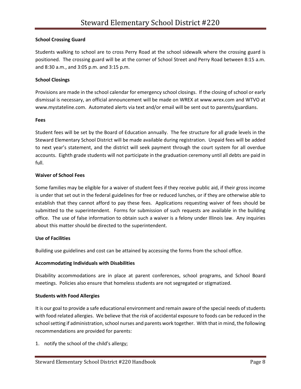### **School Crossing Guard**

Students walking to school are to cross Perry Road at the school sidewalk where the crossing guard is positioned. The crossing guard will be at the corner of School Street and Perry Road between 8:15 a.m. and 8:30 a.m., and 3:05 p.m. and 3:15 p.m.

### **School Closings**

Provisions are made in the school calendar for emergency school closings. If the closing of school or early dismissal is necessary, an official announcement will be made on WREX at www.wrex.com and WTVO at www.mystateline.com. Automated alerts via text and/or email will be sent out to parents/guardians.

#### **Fees**

Student fees will be set by the Board of Education annually. The fee structure for all grade levels in the Steward Elementary School District will be made available during registration. Unpaid fees will be added to next year's statement, and the district will seek payment through the court system for all overdue accounts. Eighth grade students will not participate in the graduation ceremony until all debts are paid in full.

### **Waiver of School Fees**

Some families may be eligible for a waiver of student fees if they receive public aid, if their gross income is under that set out in the federal guidelines for free or reduced lunches, or if they are otherwise able to establish that they cannot afford to pay these fees. Applications requesting waiver of fees should be submitted to the superintendent. Forms for submission of such requests are available in the building office. The use of false information to obtain such a waiver is a felony under Illinois law. Any inquiries about this matter should be directed to the superintendent.

### **Use of Facilities**

Building use guidelines and cost can be attained by accessing the forms from the school office.

### **Accommodating Individuals with Disabilities**

Disability accommodations are in place at parent conferences, school programs, and School Board meetings. Policies also ensure that homeless students are not segregated or stigmatized.

### **Students with Food Allergies**

It is our goal to provide a safe educational environment and remain aware of the special needs of students with food related allergies. We believe that the risk of accidental exposure to foods can be reduced in the school setting if administration, school nurses and parents work together. With that in mind, the following recommendations are provided for parents:

1. notify the school of the child's allergy;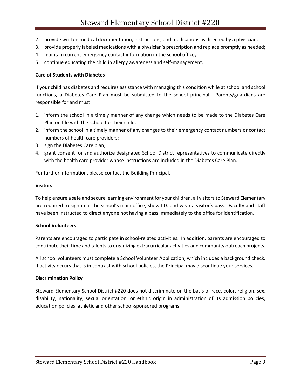- 2. provide written medical documentation, instructions, and medications as directed by a physician;
- 3. provide properly labeled medications with a physician's prescription and replace promptly as needed;
- 4. maintain current emergency contact information in the school office;
- 5. continue educating the child in allergy awareness and self-management.

### **Care of Students with Diabetes**

If your child has diabetes and requires assistance with managing this condition while at school and school functions, a Diabetes Care Plan must be submitted to the school principal. Parents/guardians are responsible for and must:

- 1. inform the school in a timely manner of any change which needs to be made to the Diabetes Care Plan on file with the school for their child;
- 2. inform the school in a timely manner of any changes to their emergency contact numbers or contact numbers of health care providers;
- 3. sign the Diabetes Care plan;
- 4. grant consent for and authorize designated School District representatives to communicate directly with the health care provider whose instructions are included in the Diabetes Care Plan.

For further information, please contact the Building Principal.

### **Visitors**

To help ensure a safe and secure learning environment for your children, all visitors to Steward Elementary are required to sign-in at the school's main office, show I.D. and wear a visitor's pass. Faculty and staff have been instructed to direct anyone not having a pass immediately to the office for identification.

### **School Volunteers**

Parents are encouraged to participate in school-related activities. In addition, parents are encouraged to contribute their time and talents to organizing extracurricular activities and community outreach projects.

All school volunteers must complete a School Volunteer Application, which includes a background check. If activity occurs that is in contrast with school policies, the Principal may discontinue your services.

### **Discrimination Policy**

Steward Elementary School District #220 does not discriminate on the basis of race, color, religion, sex, disability, nationality, sexual orientation, or ethnic origin in administration of its admission policies, education policies, athletic and other school-sponsored programs.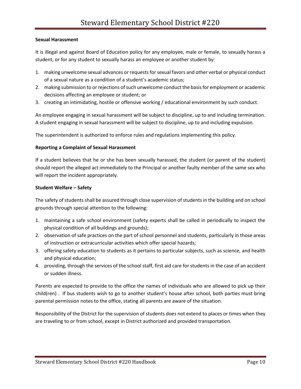### **Sexual Harassment**

It is illegal and against Board of Education policy for any employee, male or female, to sexually harass a student, or for any student to sexually harass an employee or another student by:

- 1. making unwelcome sexual advances or requests for sexual favors and other verbal or physical conduct of a sexual nature as a condition of a student's academic status;
- 2. making submission to or rejections of such unwelcome conduct the basis for employment or academic decisions affecting an employee or student; or
- 3. creating an intimidating, hostile or offensive working / educational environment by such conduct.

An employee engaging in sexual harassment will be subject to discipline, up to and including termination. A student engaging in sexual harassment will be subject to discipline, up to and including expulsion.

The superintendent is authorized to enforce rules and regulations implementing this policy.

### **Reporting a Complaint of Sexual Harassment**

If a student believes that he or she has been sexually harassed, the student (or parent of the student) should report the alleged act immediately to the Principal or another faulty member of the same sex who will report the incident appropriately.

### **Student Welfare – Safety**

The safety of students shall be assured through close supervision of students in the building and on school grounds through special attention to the following:

- 1. maintaining a safe school environment (safety experts shall be called in periodically to inspect the physical condition of all buildings and grounds);
- 2. observation of safe practices on the part of school personnel and students, particularly in those areas of instruction or extracurricular activities which offer special hazards;
- 3. offering safety education to students as it pertains to particular subjects, such as science, and health and physical education;
- 4. providing, through the services of the school staff, first aid care for students in the case of an accident or sudden illness.

Parents are expected to provide to the office the names of individuals who are allowed to pick up their child(ren) . If bus students wish to go to another student's house after school, both parties must bring parental permission notes to the office, stating all parents are aware of the situation.

Responsibility of the District for the supervision of students does not extend to places or times when they are traveling to or from school, except in District authorized and provided transportation.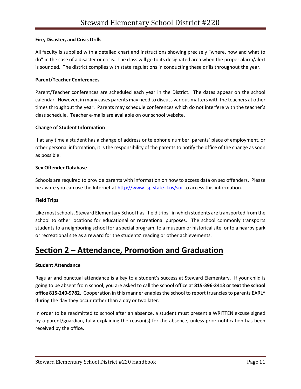### **Fire, Disaster, and Crisis Drills**

All faculty is supplied with a detailed chart and instructions showing precisely "where, how and what to do" in the case of a disaster or crisis. The class will go to its designated area when the proper alarm/alert is sounded. The district complies with state regulations in conducting these drills throughout the year.

### **Parent/Teacher Conferences**

Parent/Teacher conferences are scheduled each year in the District. The dates appear on the school calendar. However, in many cases parents may need to discuss various matters with the teachers at other times throughout the year. Parents may schedule conferences which do not interfere with the teacher's class schedule. Teacher e-mails are available on our school website.

### **Change of Student Information**

If at any time a student has a change of address or telephone number, parents' place of employment, or other personal information, it is the responsibility of the parents to notify the office of the change as soon as possible.

### **Sex Offender Database**

Schools are required to provide parents with information on how to access data on sex offenders. Please be aware you can use the Internet at<http://www.isp.state.il.us/sor> to access this information.

### **Field Trips**

Like most schools, Steward Elementary School has "field trips" in which students are transported from the school to other locations for educational or recreational purposes. The school commonly transports students to a neighboring school for a special program, to a museum or historical site, or to a nearby park or recreational site as a reward for the students' reading or other achievements.

### **Section 2 – Attendance, Promotion and Graduation**

### **Student Attendance**

Regular and punctual attendance is a key to a student's success at Steward Elementary. If your child is going to be absent from school, you are asked to call the school office at **815-396-2413 or text the school office 815-240-9782.** Cooperation in this manner enables the school to report truancies to parents EARLY during the day they occur rather than a day or two later.

In order to be readmitted to school after an absence, a student must present a WRITTEN excuse signed by a parent/guardian, fully explaining the reason(s) for the absence, unless prior notification has been received by the office.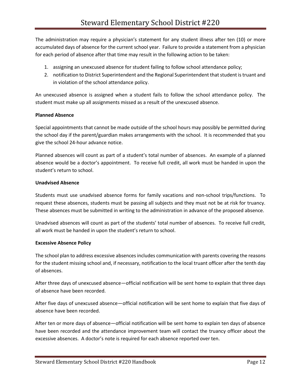The administration may require a physician's statement for any student illness after ten (10) or more accumulated days of absence for the current school year. Failure to provide a statement from a physician for each period of absence after that time may result in the following action to be taken:

- 1. assigning an unexcused absence for student failing to follow school attendance policy;
- 2. notification to District Superintendent and the Regional Superintendent that student is truant and in violation of the school attendance policy.

An unexcused absence is assigned when a student fails to follow the school attendance policy. The student must make up all assignments missed as a result of the unexcused absence.

### **Planned Absence**

Special appointments that cannot be made outside of the school hours may possibly be permitted during the school day if the parent/guardian makes arrangements with the school. It is recommended that you give the school 24-hour advance notice.

Planned absences will count as part of a student's total number of absences. An example of a planned absence would be a doctor's appointment. To receive full credit, all work must be handed in upon the student's return to school.

### **Unadvised Absence**

Students must use unadvised absence forms for family vacations and non-school trips/functions. To request these absences, students must be passing all subjects and they must not be at risk for truancy. These absences must be submitted in writing to the administration in advance of the proposed absence.

Unadvised absences will count as part of the students' total number of absences. To receive full credit, all work must be handed in upon the student's return to school.

### **Excessive Absence Policy**

The school plan to address excessive absences includes communication with parents covering the reasons for the student missing school and, if necessary, notification to the local truant officer after the tenth day of absences.

After three days of unexcused absence—official notification will be sent home to explain that three days of absence have been recorded.

After five days of unexcused absence—official notification will be sent home to explain that five days of absence have been recorded.

After ten or more days of absence—official notification will be sent home to explain ten days of absence have been recorded and the attendance improvement team will contact the truancy officer about the excessive absences. A doctor's note is required for each absence reported over ten.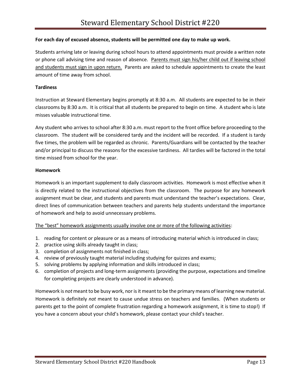### **For each day of excused absence, students will be permitted one day to make up work.**

Students arriving late or leaving during school hours to attend appointments must provide a written note or phone call advising time and reason of absence. Parents must sign his/her child out if leaving school and students must sign in upon return. Parents are asked to schedule appointments to create the least amount of time away from school.

### **Tardiness**

Instruction at Steward Elementary begins promptly at 8:30 a.m. All students are expected to be in their classrooms by 8:30 a.m. It is critical that all students be prepared to begin on time. A student who is late misses valuable instructional time.

Any student who arrives to school after 8:30 a.m. must report to the front office before proceeding to the classroom. The student will be considered tardy and the incident will be recorded. If a student is tardy five times, the problem will be regarded as chronic. Parents/Guardians will be contacted by the teacher and/or principal to discuss the reasons for the excessive tardiness. All tardies will be factored in the total time missed from school for the year.

### **Homework**

Homework is an important supplement to daily classroom activities. Homework is most effective when it is directly related to the instructional objectives from the classroom. The purpose for any homework assignment must be clear, and students and parents must understand the teacher's expectations. Clear, direct lines of communication between teachers and parents help students understand the importance of homework and help to avoid unnecessary problems.

### The "best" homework assignments usually involve one or more of the following activities:

- 1. reading for content or pleasure or as a means of introducing material which is introduced in class;
- 2. practice using skills already taught in class;
- 3. completion of assignments not finished in class;
- 4. review of previously taught material including studying for quizzes and exams;
- 5. solving problems by applying information and skills introduced in class;
- 6. completion of projects and long-term assignments (providing the purpose, expectations and timeline for completing projects are clearly understood in advance).

Homework is *not* meant to be busy work, nor is it meant to be the primary means of learning new material. Homework is definitely *not* meant to cause undue stress on teachers and families. (When students or parents get to the point of complete frustration regarding a homework assignment, it is time to stop!) If you have a concern about your child's homework, please contact your child's teacher.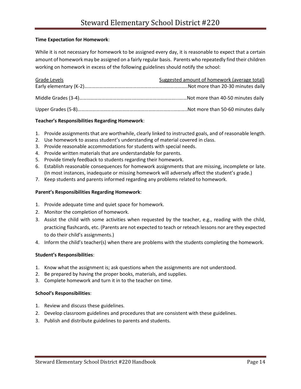### **Time Expectation for Homework**:

While it is not necessary for homework to be assigned every day, it is reasonable to expect that a certain amount of homework may be assigned on a fairly regular basis. Parents who repeatedly find their children working on homework in excess of the following guidelines should notify the school:

| Grade Levels | Suggested amount of homework (average total) |
|--------------|----------------------------------------------|
|              |                                              |
|              |                                              |
|              |                                              |
|              |                                              |
|              |                                              |

### **Teacher's Responsibilities Regarding Homework**:

- 1. Provide assignments that are worthwhile, clearly linked to instructed goals, and of reasonable length.
- 2. Use homework to assess student's understanding of material covered in class.
- 3. Provide reasonable accommodations for students with special needs.
- 4. Provide written materials that are understandable for parents.
- 5. Provide timely feedback to students regarding their homework.
- 6. Establish reasonable consequences for homework assignments that are missing, incomplete or late. (In most instances, inadequate or missing homework will adversely affect the student's grade.)
- 7. Keep students and parents informed regarding any problems related to homework.

### **Parent's Responsibilities Regarding Homework**:

- 1. Provide adequate time and quiet space for homework.
- 2. Monitor the completion of homework.
- 3. Assist the child with some activities when requested by the teacher, e.g., reading with the child, practicing flashcards, etc. (Parents are not expected to teach or reteach lessons nor are they expected to do their child's assignments.)
- 4. Inform the child's teacher(s) when there are problems with the students completing the homework.

### **Student's Responsibilities**:

- 1. Know what the assignment is; ask questions when the assignments are not understood.
- 2. Be prepared by having the proper books, materials, and supplies.
- 3. Complete homework and turn it in to the teacher on time.

### **School's Responsibilities**:

- 1. Review and discuss these guidelines.
- 2. Develop classroom guidelines and procedures that are consistent with these guidelines.
- 3. Publish and distribute guidelines to parents and students.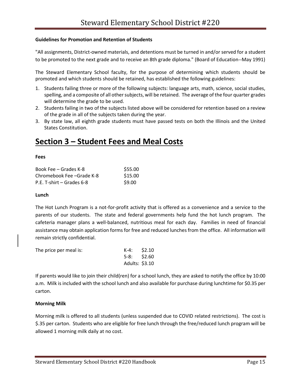### **Guidelines for Promotion and Retention of Students**

"All assignments, District-owned materials, and detentions must be turned in and/or served for a student to be promoted to the next grade and to receive an 8th grade diploma." (Board of Education--May 1991)

The Steward Elementary School faculty, for the purpose of determining which students should be promoted and which students should be retained, has established the following guidelines:

- 1. Students failing three or more of the following subjects: language arts, math, science, social studies, spelling, and a composite of all other subjects, will be retained. The average of the four quarter grades will determine the grade to be used.
- 2. Students failing in two of the subjects listed above will be considered for retention based on a review of the grade in all of the subjects taken during the year.
- 3. By state law, all eighth grade students must have passed tests on both the Illinois and the United States Constitution.

### **Section 3 – Student Fees and Meal Costs**

#### **Fees**

| Book Fee – Grades K-8     | \$55.00 |
|---------------------------|---------|
| Chromebook Fee -Grade K-8 | \$15.00 |
| P.E. T-shirt – Grades 6-8 | \$9.00  |

#### **Lunch**

The Hot Lunch Program is a not-for-profit activity that is offered as a convenience and a service to the parents of our students. The state and federal governments help fund the hot lunch program. The cafeteria manager plans a well-balanced, nutritious meal for each day. Families in need of financial assistance may obtain application forms for free and reduced lunches from the office. All information will remain strictly confidential.

| The price per meal is: | $K-4$ : \$2.10 |  |
|------------------------|----------------|--|
|                        | $5-8:$ \$2.60  |  |
|                        | Adults: \$3.10 |  |

If parents would like to join their child(ren) for a school lunch, they are asked to notify the office by 10:00 a.m. Milk is included with the school lunch and also available for purchase during lunchtime for \$0.35 per carton.

### **Morning Milk**

Morning milk is offered to all students (unless suspended due to COVID related restrictions). The cost is \$.35 per carton. Students who are eligible for free lunch through the free/reduced lunch program will be allowed 1 morning milk daily at no cost.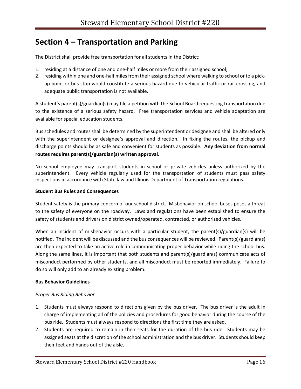### **Section 4 – Transportation and Parking**

The District shall provide free transportation for all students in the District:

- 1. residing at a distance of one and one-half miles or more from their assigned school;
- 2. residing within one and one-half miles from their assigned school where walking to school or to a pickup point or bus stop would constitute a serious hazard due to vehicular traffic or rail crossing, and adequate public transportation is not available.

A student's parent(s)/guardian(s) may file a petition with the School Board requesting transportation due to the existence of a serious safety hazard. Free transportation services and vehicle adaptation are available for special education students.

Bus schedules and routes shall be determined by the superintendent or designee and shall be altered only with the superintendent or designee's approval and direction. In fixing the routes, the pickup and discharge points should be as safe and convenient for students as possible. **Any deviation from normal routes requires parent(s)/guardian(s) written approval.**

No school employee may transport students in school or private vehicles unless authorized by the superintendent. Every vehicle regularly used for the transportation of students must pass safety inspections in accordance with State law and Illinois Department of Transportation regulations.

### **Student Bus Rules and Consequences**

Student safety is the primary concern of our school district. Misbehavior on school buses poses a threat to the safety of everyone on the roadway. Laws and regulations have been established to ensure the safety of students and drivers on district owned/operated, contracted, or authorized vehicles.

When an incident of misbehavior occurs with a particular student, the parent(s)/guardian(s) will be notified. The incident will be discussed and the bus consequences will be reviewed. Parent(s)/guardian(s) are then expected to take an active role in communicating proper behavior while riding the school bus. Along the same lines, it is important that both students and parent(s)/guardian(s) communicate acts of misconduct performed by other students, and all misconduct must be reported immediately. Failure to do so will only add to an already existing problem.

### **Bus Behavior Guidelines**

### *Proper Bus Riding Behavior*

- 1. Students must always respond to directions given by the bus driver. The bus driver is the adult in charge of implementing all of the policies and procedures for good behavior during the course of the bus ride. Students must always respond to directions the first time they are asked.
- 2. Students are required to remain in their seats for the duration of the bus ride. Students may be assigned seats at the discretion of the school administration and the bus driver. Students should keep their feet and hands out of the aisle.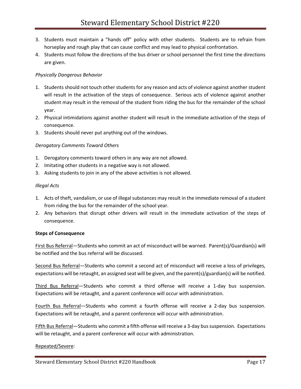- 3. Students must maintain a "hands off" policy with other students. Students are to refrain from horseplay and rough play that can cause conflict and may lead to physical confrontation.
- 4. Students must follow the directions of the bus driver or school personnel the first time the directions are given.

### *Physically Dangerous Behavior*

- 1. Students should not touch other students for any reason and acts of violence against another student will result in the activation of the steps of consequence. Serious acts of violence against another student may result in the removal of the student from riding the bus for the remainder of the school year.
- 2. Physical intimidations against another student will result in the immediate activation of the steps of consequence.
- 3. Students should never put anything out of the windows.

### *Derogatory Comments Toward Others*

- 1. Derogatory comments toward others in any way are not allowed.
- 2. Imitating other students in a negative way is not allowed.
- 3. Asking students to join in any of the above activities is not allowed.

### *Illegal Acts*

- 1. Acts of theft, vandalism, or use of illegal substances may result in the immediate removal of a student from riding the bus for the remainder of the school year.
- 2. Any behaviors that disrupt other drivers will result in the immediate activation of the steps of consequence.

### **Steps of Consequence**

First Bus Referral—Students who commit an act of misconduct will be warned. Parent(s)/Guardian(s) will be notified and the bus referral will be discussed.

Second Bus Referral—Students who commit a second act of misconduct will receive a loss of privileges, expectations will be retaught, an assigned seat will be given, and the parent(s)/guardian(s) will be notified.

Third Bus Referral—Students who commit a third offense will receive a 1-day bus suspension. Expectations will be retaught, and a parent conference will occur with administration.

Fourth Bus Referral—Students who commit a fourth offense will receive a 2-day bus suspension. Expectations will be retaught, and a parent conference will occur with administration.

Fifth Bus Referral—Students who commit a fifth offense will receive a 3-day bus suspension. Expectations will be retaught, and a parent conference will occur with administration.

### Repeated/Severe: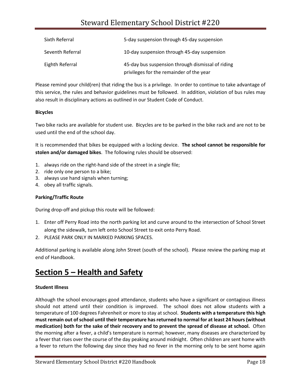### Steward Elementary School District #220

| Sixth Referral   | 5-day suspension through 45-day suspension                                                    |
|------------------|-----------------------------------------------------------------------------------------------|
| Seventh Referral | 10-day suspension through 45-day suspension                                                   |
| Eighth Referral  | 45-day bus suspension through dismissal of riding<br>privileges for the remainder of the year |

Please remind your child(ren) that riding the bus is a privilege. In order to continue to take advantage of this service, the rules and behavior guidelines must be followed. In addition, violation of bus rules may also result in disciplinary actions as outlined in our Student Code of Conduct.

### **Bicycles**

Two bike racks are available for student use. Bicycles are to be parked in the bike rack and are not to be used until the end of the school day.

It is recommended that bikes be equipped with a locking device. **The school cannot be responsible for stolen and/or damaged bikes**. The following rules should be observed:

- 1. always ride on the right-hand side of the street in a single file;
- 2. ride only one person to a bike;
- 3. always use hand signals when turning;
- 4. obey all traffic signals.

### **Parking/Traffic Route**

During drop-off and pickup this route will be followed:

- 1. Enter off Perry Road into the north parking lot and curve around to the intersection of School Street along the sidewalk, turn left onto School Street to exit onto Perry Road.
- 2. PLEASE PARK ONLY IN MARKED PARKING SPACES.

Additional parking is available along John Street (south of the school). Please review the parking map at end of Handbook.

### **Section 5 – Health and Safety**

### **Student Illness**

Although the school encourages good attendance, students who have a significant or contagious illness should not attend until their condition is improved. The school does not allow students with a temperature of 100 degrees Fahrenheit or more to stay at school. **Students with a temperature this high must remain out of school until their temperature has returned to normal for at least 24 hours (without medication) both for the sake of their recovery and to prevent the spread of disease at school.** Often the morning after a fever, a child's temperature is normal; however, many diseases are characterized by a fever that rises over the course of the day peaking around midnight. Often children are sent home with a fever to return the following day since they had no fever in the morning only to be sent home again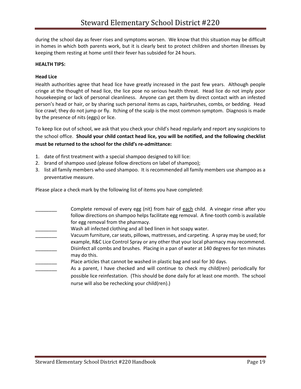during the school day as fever rises and symptoms worsen. We know that this situation may be difficult in homes in which both parents work, but it is clearly best to protect children and shorten illnesses by keeping them resting at home until their fever has subsided for 24 hours.

### **HEALTH TIPS:**

### **Head Lice**

Health authorities agree that head lice have greatly increased in the past few years. Although people cringe at the thought of head lice, the lice pose no serious health threat. Head lice do not imply poor housekeeping or lack of personal cleanliness. Anyone can get them by direct contact with an infested person's head or hair, or by sharing such personal items as caps, hairbrushes, combs, or bedding. Head lice crawl; they do not jump or fly. Itching of the scalp is the most common symptom. Diagnosis is made by the presence of nits (eggs) or lice.

To keep lice out of school, we ask that you check your child's head regularly and report any suspicions to the school office. **Should your child contact head lice, you will be notified, and the following checklist must be returned to the school for the child's re-admittance:**

- 1. date of first treatment with a special shampoo designed to kill lice:
- 2. brand of shampoo used (please follow directions on label of shampoo);
- 3. list all family members who used shampoo. It is recommended all family members use shampoo as a preventative measure.

Please place a check mark by the following list of items you have completed:

- Complete removal of every egg (nit) from hair of each child. A vinegar rinse after you follow directions on shampoo helps facilitate egg removal. A fine-tooth comb is available for egg removal from the pharmacy.
- Wash all infected clothing and all bed linen in hot soapy water.
- Vacuum furniture, car seats, pillows, mattresses, and carpeting. A spray may be used; for example, R&C Lice Control Spray or any other that your local pharmacy may recommend. Disinfect all combs and brushes. Placing in a pan of water at 140 degrees for ten minutes may do this.
- Place articles that cannot be washed in plastic bag and seal for 30 days.
- As a parent, I have checked and will continue to check my child(ren) periodically for possible lice reinfestation. (This should be done daily for at least one month. The school nurse will also be rechecking your child(ren).)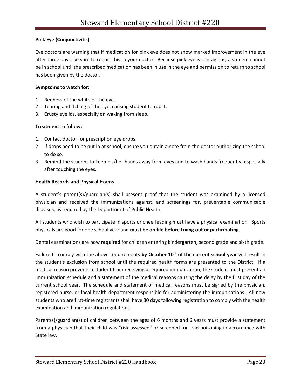### **Pink Eye (Conjunctivitis)**

Eye doctors are warning that if medication for pink eye does not show marked improvement in the eye after three days, be sure to report this to your doctor. Because pink eye is contagious, a student cannot be in school until the prescribed medication has been in use in the eye and permission to return to school has been given by the doctor.

### **Symptoms to watch for:**

- 1. Redness of the white of the eye.
- 2. Tearing and itching of the eye, causing student to rub it.
- 3. Crusty eyelids, especially on waking from sleep.

### **Treatment to follow:**

- 1. Contact doctor for prescription eye drops.
- 2. If drops need to be put in at school, ensure you obtain a note from the doctor authorizing the school to do so.
- 3. Remind the student to keep his/her hands away from eyes and to wash hands frequently, especially after touching the eyes.

### **Health Records and Physical Exams**

A student's parent(s)/guardian(s) shall present proof that the student was examined by a licensed physician and received the immunizations against, and screenings for, preventable communicable diseases, as required by the Department of Public Health.

All students who wish to participate in sports or cheerleading must have a physical examination. Sports physicals are good for one school year and **must be on file before trying out or participating**.

Dental examinations are now **required** for children entering kindergarten, second grade and sixth grade.

Failure to comply with the above requirements **by October 10th of the current school year** will result in the student's exclusion from school until the required health forms are presented to the District. If a medical reason prevents a student from receiving a required immunization, the student must present an immunization schedule and a statement of the medical reasons causing the delay by the first day of the current school year. The schedule and statement of medical reasons must be signed by the physician, registered nurse, or local health department responsible for administering the immunizations. All new students who are first-time registrants shall have 30 days following registration to comply with the health examination and immunization regulations.

Parent(s)/guardian(s) of children between the ages of 6 months and 6 years must provide a statement from a physician that their child was "risk-assessed" or screened for lead poisoning in accordance with State law.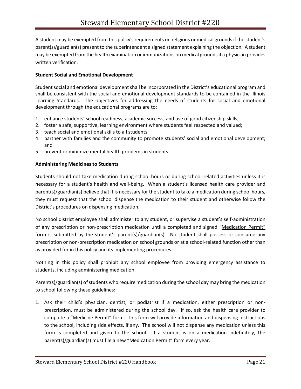A student may be exempted from this policy's requirements on religious or medical grounds if the student's parent(s)/guardian(s) present to the superintendent a signed statement explaining the objection. A student may be exempted from the health examination or immunizations on medical grounds if a physician provides written verification.

### **Student Social and Emotional Development**

Student social and emotional development shall be incorporated in the District's educational program and shall be consistent with the social and emotional development standards to be contained in the Illinois Learning Standards. The objectives for addressing the needs of students for social and emotional development through the educational programs are to:

- 1. enhance students' school readiness, academic success, and use of good citizenship skills;
- 2. foster a safe, supportive, learning environment where students feel respected and valued;
- 3. teach social and emotional skills to all students;
- 4. partner with families and the community to promote students' social and emotional development; and
- 5. prevent or minimize mental health problems in students.

### **Administering Medicines to Students**

Students should not take medication during school hours or during school-related activities unless it is necessary for a student's health and well-being. When a student's licensed health care provider and parent(s)/guardian(s) believe that it is necessary for the student to take a medication during school hours, they must request that the school dispense the medication to their student and otherwise follow the District's procedures on dispensing medication.

No school district employee shall administer to any student, or supervise a student's self-administration of any prescription or non-prescription medication until a completed and signed "Medication Permit" form is submitted by the student's parent(s)/guardian(s). No student shall possess or consume any prescription or non-prescription medication on school grounds or at a school-related function other than as provided for in this policy and its implementing procedures.

Nothing in this policy shall prohibit any school employee from providing emergency assistance to students, including administering medication.

Parent(s)/guardian(s) of students who require medication during the school day may bring the medication to school following these guidelines:

1. Ask their child's physician, dentist, or podiatrist if a medication, either prescription or nonprescription, must be administered during the school day. If so, ask the health care provider to complete a "Medicine Permit" form. This form will provide information and dispensing instructions to the school, including side effects, if any. The school will not dispense any medication unless this form is completed and given to the school. If a student is on a medication indefinitely, the parent(s)/guardian(s) must file a new "Medication Permit" form every year.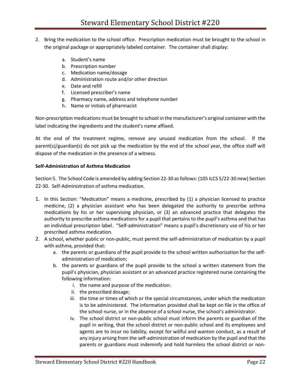- 2. Bring the medication to the school office. Prescription medication must be brought to the school in the original package or appropriately labeled container. The container shall display:
	- a. Student's name
	- b. Prescription number
	- c. Medication name/dosage
	- d. Administration route and/or other direction
	- e. Date and refill
	- f. Licensed prescriber's name
	- g. Pharmacy name, address and telephone number
	- h. Name or initials of pharmacist

Non-prescription medications must be brought to school in the manufacturer's original container with the label indicating the ingredients and the student's name affixed.

At the end of the treatment regime, remove any unused medication from the school. If the parent(s)/guardian(s) do not pick up the medication by the end of the school year, the office staff will dispose of the medication in the presence of a witness.

### **Self-Administration of Asthma Medication**

Section 5. The School Code is amended by adding Section 22-30 as follows: (105 ILCS 5/22-30 new) Section 22-30. Self-Administration of asthma medication.

- 1. In this Section: "Medication" means a medicine, prescribed by (1) a physician licensed to practice medicine, (2) a physician assistant who has been delegated the authority to prescribe asthma medications by his or her supervising physician, or (3) an advanced practice that delegates the authority to prescribe asthma medications for a pupil that pertains to the pupil's asthma and that has an individual prescription label. "Self-administration" means a pupil's discretionary use of his or her prescribed asthma medication.
- 2. A school, whether public or non-public, must permit the self-administration of medication by a pupil with asthma, provided that:
	- a. the parents or guardians of the pupil provide to the school written authorization for the selfadministration of medication;
	- b. the parents or guardians of the pupil provide to the school a written statement from the pupil's physician, physician assistant or an advanced practice registered nurse containing the following information:
		- i. the name and purpose of the medication:
		- ii. the prescribed dosage;
		- iii. the time or times of which or the special circumstances, under which the medication is to be administered. The information provided shall be kept on file in the office of the school nurse, or in the absence of a school nurse, the school's administrator.
		- iv. The school district or non-public school must inform the parents or guardian of the pupil in writing, that the school district or non-public school and its employees and agents are to incur no liability, except for willful and wanton conduct, as a result of any injury arising from the self-administration of medication by the pupil and that the parents or guardians must indemnify and hold harmless the school district or non-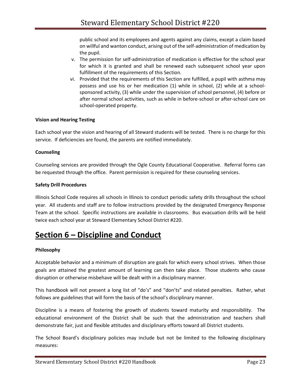public school and its employees and agents against any claims, except a claim based on willful and wanton conduct, arising out of the self-administration of medication by the pupil.

- v. The permission for self-administration of medication is effective for the school year for which it is granted and shall be renewed each subsequent school year upon fulfillment of the requirements of this Section.
- vi. Provided that the requirements of this Section are fulfilled, a pupil with asthma may possess and use his or her medication (1) while in school, (2) while at a schoolsponsored activity, (3) while under the supervision of school personnel, (4) before or after normal school activities, such as while in before-school or after-school care on school-operated property.

### **Vision and Hearing Testing**

Each school year the vision and hearing of all Steward students will be tested. There is no charge for this service. If deficiencies are found, the parents are notified immediately.

### **Counseling**

Counseling services are provided through the Ogle County Educational Cooperative. Referral forms can be requested through the office. Parent permission is required for these counseling services.

### **Safety Drill Procedures**

Illinois School Code requires all schools in Illinois to conduct periodic safety drills throughout the school year. All students and staff are to follow instructions provided by the designated Emergency Response Team at the school. Specific instructions are available in classrooms. Bus evacuation drills will be held twice each school year at Steward Elementary School District #220.

### **Section 6 – Discipline and Conduct**

### **Philosophy**

Acceptable behavior and a minimum of disruption are goals for which every school strives. When those goals are attained the greatest amount of learning can then take place. Those students who cause disruption or otherwise misbehave will be dealt with in a disciplinary manner.

This handbook will not present a long list of "do's" and "don'ts" and related penalties. Rather, what follows are guidelines that will form the basis of the school's disciplinary manner.

Discipline is a means of fostering the growth of students toward maturity and responsibility. The educational environment of the District shall be such that the administration and teachers shall demonstrate fair, just and flexible attitudes and disciplinary efforts toward all District students.

The School Board's disciplinary policies may include but not be limited to the following disciplinary measures: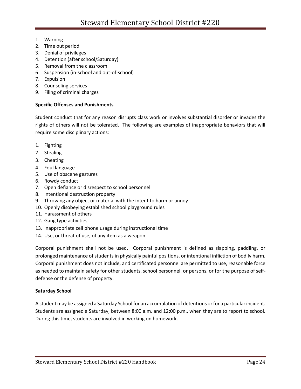- 1. Warning
- 2. Time out period
- 3. Denial of privileges
- 4. Detention (after school/Saturday)
- 5. Removal from the classroom
- 6. Suspension (in-school and out-of-school)
- 7. Expulsion
- 8. Counseling services
- 9. Filing of criminal charges

### **Specific Offenses and Punishments**

Student conduct that for any reason disrupts class work or involves substantial disorder or invades the rights of others will not be tolerated. The following are examples of inappropriate behaviors that will require some disciplinary actions:

- 1. Fighting
- 2. Stealing
- 3. Cheating
- 4. Foul language
- 5. Use of obscene gestures
- 6. Rowdy conduct
- 7. Open defiance or disrespect to school personnel
- 8. Intentional destruction property
- 9. Throwing any object or material with the intent to harm or annoy
- 10. Openly disobeying established school playground rules
- 11. Harassment of others
- 12. Gang type activities
- 13. Inappropriate cell phone usage during instructional time
- 14. Use, or threat of use, of any item as a weapon

Corporal punishment shall not be used. Corporal punishment is defined as slapping, paddling, or prolonged maintenance of students in physically painful positions, or intentional infliction of bodily harm. Corporal punishment does not include, and certificated personnel are permitted to use, reasonable force as needed to maintain safety for other students, school personnel, or persons, or for the purpose of selfdefense or the defense of property.

### **Saturday School**

A student may be assigned a Saturday School for an accumulation of detentions or for a particular incident. Students are assigned a Saturday, between 8:00 a.m. and 12:00 p.m., when they are to report to school. During this time, students are involved in working on homework.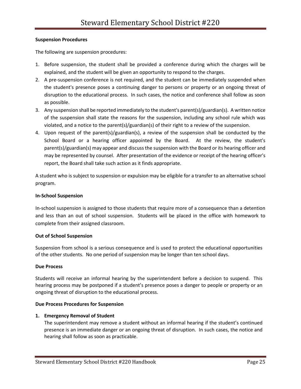### **Suspension Procedures**

The following are suspension procedures:

- 1. Before suspension, the student shall be provided a conference during which the charges will be explained, and the student will be given an opportunity to respond to the charges.
- 2. A pre-suspension conference is not required, and the student can be immediately suspended when the student's presence poses a continuing danger to persons or property or an ongoing threat of disruption to the educational process. In such cases, the notice and conference shall follow as soon as possible.
- 3. Any suspension shall be reported immediately to the student's parent(s)/guardian(s). A written notice of the suspension shall state the reasons for the suspension, including any school rule which was violated, and a notice to the parent(s)/guardian(s) of their right to a review of the suspension.
- 4. Upon request of the parent(s)/guardian(s), a review of the suspension shall be conducted by the School Board or a hearing officer appointed by the Board. At the review, the student's parent(s)/guardian(s) may appear and discuss the suspension with the Board or its hearing officer and may be represented by counsel. After presentation of the evidence or receipt of the hearing officer's report, the Board shall take such action as it finds appropriate.

A student who is subject to suspension or expulsion may be eligible for a transfer to an alternative school program.

### **In-School Suspension**

In-school suspension is assigned to those students that require more of a consequence than a detention and less than an out of school suspension. Students will be placed in the office with homework to complete from their assigned classroom.

### **Out of School Suspension**

Suspension from school is a serious consequence and is used to protect the educational opportunities of the other students. No one period of suspension may be longer than ten school days.

### **Due Process**

Students will receive an informal hearing by the superintendent before a decision to suspend. This hearing process may be postponed if a student's presence poses a danger to people or property or an ongoing threat of disruption to the educational process.

### **Due Process Procedures for Suspension**

### **1. Emergency Removal of Student**

The superintendent may remove a student without an informal hearing if the student's continued presence is an immediate danger or an ongoing threat of disruption. In such cases, the notice and hearing shall follow as soon as practicable.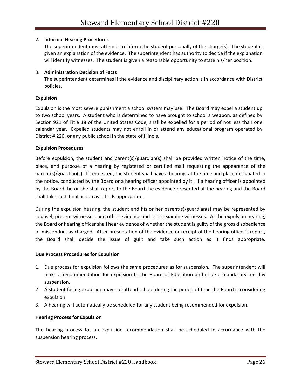### **2. Informal Hearing Procedures**

The superintendent must attempt to inform the student personally of the charge(s). The student is given an explanation of the evidence. The superintendent has authority to decide if the explanation will identify witnesses. The student is given a reasonable opportunity to state his/her position.

### 3. **Administration Decision of Facts**

The superintendent determines if the evidence and disciplinary action is in accordance with District policies.

### **Expulsion**

Expulsion is the most severe punishment a school system may use. The Board may expel a student up to two school years. A student who is determined to have brought to school a weapon, as defined by Section 921 of Title 18 of the United States Code, shall be expelled for a period of not less than one calendar year. Expelled students may not enroll in or attend any educational program operated by District # 220, or any public school in the state of Illinois.

### **Expulsion Procedures**

Before expulsion, the student and parent(s)/guardian(s) shall be provided written notice of the time, place, and purpose of a hearing by registered or certified mail requesting the appearance of the parent(s)/guardian(s). If requested, the student shall have a hearing, at the time and place designated in the notice, conducted by the Board or a hearing officer appointed by it. If a hearing officer is appointed by the Board, he or she shall report to the Board the evidence presented at the hearing and the Board shall take such final action as it finds appropriate.

During the expulsion hearing, the student and his or her parent(s)/guardian(s) may be represented by counsel, present witnesses, and other evidence and cross-examine witnesses. At the expulsion hearing, the Board or hearing officer shall hear evidence of whether the student is guilty of the gross disobedience or misconduct as charged. After presentation of the evidence or receipt of the hearing officer's report, the Board shall decide the issue of guilt and take such action as it finds appropriate.

### **Due Process Procedures for Expulsion**

- 1. Due process for expulsion follows the same procedures as for suspension. The superintendent will make a recommendation for expulsion to the Board of Education and issue a mandatory ten-day suspension.
- 2. A student facing expulsion may not attend school during the period of time the Board is considering expulsion.
- 3. A hearing will automatically be scheduled for any student being recommended for expulsion.

### **Hearing Process for Expulsion**

The hearing process for an expulsion recommendation shall be scheduled in accordance with the suspension hearing process.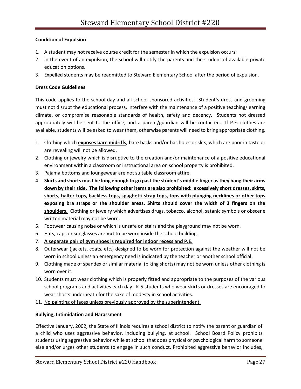### **Condition of Expulsion**

- 1. A student may not receive course credit for the semester in which the expulsion occurs.
- 2. In the event of an expulsion, the school will notify the parents and the student of available private education options.
- 3. Expelled students may be readmitted to Steward Elementary School after the period of expulsion.

### **Dress Code Guidelines**

This code applies to the school day and all school-sponsored activities. Student's dress and grooming must not disrupt the educational process, interfere with the maintenance of a positive teaching/learning climate, or compromise reasonable standards of health, safety and decency. Students not dressed appropriately will be sent to the office, and a parent/guardian will be contacted. If P.E. clothes are available, students will be asked to wear them, otherwise parents will need to bring appropriate clothing.

- 1. Clothing which **exposes bare midriffs,** bare backs and/or has holes or slits, which are poor in taste or are revealing will not be allowed.
- 2. Clothing or jewelry which is disruptive to the creation and/or maintenance of a positive educational environment within a classroom or instructional area on school property is prohibited.
- 3. Pajama bottoms and loungewear are not suitable classroom attire.
- 4. **Skirts and shorts must be long enough to go past the student's middle finger as they hang their arms down by their side. The following other items are also prohibited: excessively short dresses, skirts, shorts, halter-tops, backless tops, spaghetti strap tops, tops with plunging necklines or other tops exposing bra straps or the shoulder areas. Shirts should cover the width of 3 fingers on the shoulders.** Clothing or jewelry which advertises drugs, tobacco, alcohol, satanic symbols or obscene written material may not be worn.
- 5. Footwear causing noise or which is unsafe on stairs and the playground may not be worn.
- 6. Hats, caps or sunglasses are **not** to be worn inside the school building.
- 7. **A separate pair of gym shoes is required for indoor recess and P.E.**
- 8. Outerwear (jackets, coats, etc.) designed to be worn for protection against the weather will not be worn in school unless an emergency need is indicated by the teacher or another school official.
- 9. Clothing made of spandex or similar material (biking shorts) may not be worn unless other clothing is worn over it.
- 10. Students must wear clothing which is properly fitted and appropriate to the purposes of the various school programs and activities each day. K-5 students who wear skirts or dresses are encouraged to wear shorts underneath for the sake of modesty in school activities.
- 11. No painting of faces unless previously approved by the superintendent.

### **Bullying, Intimidation and Harassment**

Effective January, 2002, the State of Illinois requires a school district to notify the parent or guardian of a child who uses aggressive behavior, including bullying, at school. School Board Policy prohibits students using aggressive behavior while at school that does physical or psychological harm to someone else and/or urges other students to engage in such conduct. Prohibited aggressive behavior includes,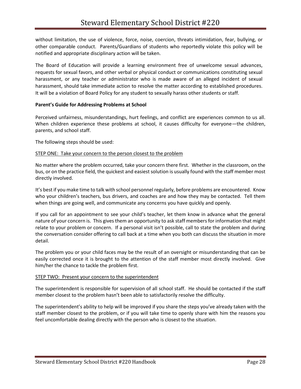without limitation, the use of violence, force, noise, coercion, threats intimidation, fear, bullying, or other comparable conduct. Parents/Guardians of students who reportedly violate this policy will be notified and appropriate disciplinary action will be taken.

The Board of Education will provide a learning environment free of unwelcome sexual advances, requests for sexual favors, and other verbal or physical conduct or communications constituting sexual harassment, or any teacher or administrator who is made aware of an alleged incident of sexual harassment, should take immediate action to resolve the matter according to established procedures. It will be a violation of Board Policy for any student to sexually harass other students or staff.

### **Parent's Guide for Addressing Problems at School**

Perceived unfairness, misunderstandings, hurt feelings, and conflict are experiences common to us all. When children experience these problems at school, it causes difficulty for everyone—the children, parents, and school staff.

The following steps should be used:

#### STEP ONE: Take your concern to the person closest to the problem

No matter where the problem occurred, take your concern there first. Whether in the classroom, on the bus, or on the practice field, the quickest and easiest solution is usually found with the staff member most directly involved.

It's best if you make time to talk with school personnel regularly, before problems are encountered. Know who your children's teachers, bus drivers, and coaches are and how they may be contacted. Tell them when things are going well, and communicate any concerns you have quickly and openly.

If you call for an appointment to see your child's teacher, let them know in advance what the general nature of your concern is. This gives them an opportunity to ask staff members for information that might relate to your problem or concern. If a personal visit isn't possible, call to state the problem and during the conversation consider offering to call back at a time when you both can discuss the situation in more detail.

The problem you or your child faces may be the result of an oversight or misunderstanding that can be easily corrected once it is brought to the attention of the staff member most directly involved. Give him/her the chance to tackle the problem first.

#### STEP TWO: Present your concern to the superintendent

The superintendent is responsible for supervision of all school staff. He should be contacted if the staff member closest to the problem hasn't been able to satisfactorily resolve the difficulty.

The superintendent's ability to help will be improved if you share the steps you've already taken with the staff member closest to the problem, or if you will take time to openly share with him the reasons you feel uncomfortable dealing directly with the person who is closest to the situation.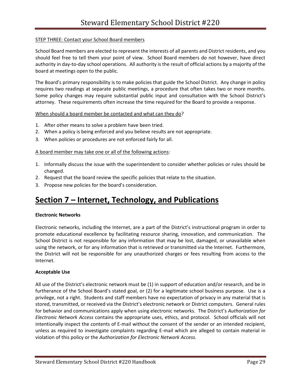### STEP THREE: Contact your School Board members

School Board members are elected to represent the interests of all parents and District residents, and you should feel free to tell them your point of view. School Board members do not however, have direct authority in day-to-day school operations. All authority is the result of official actions by a majority of the board at meetings open to the public.

The Board's primary responsibility is to make policies that guide the School District. Any change in policy requires two readings at separate public meetings, a procedure that often takes two or more months. Some policy changes may require substantial public input and consultation with the School District's attorney. These requirements often increase the time required for the Board to provide a response.

### When should a board member be contacted and what can they do?

- 1. After other means to solve a problem have been tried.
- 2. When a policy is being enforced and you believe results are not appropriate.
- 3. When policies or procedures are not enforced fairly for all.

### A board member may take one or all of the following actions:

- 1. Informally discuss the issue with the superintendent to consider whether policies or rules should be changed.
- 2. Request that the board review the specific policies that relate to the situation.
- 3. Propose new policies for the board's consideration.

### **Section 7 – Internet, Technology, and Publications**

### **Electronic Networks**

Electronic networks, including the Internet, are a part of the District's instructional program in order to promote educational excellence by facilitating resource sharing, innovation, and communication. The School District is not responsible for any information that may be lost, damaged, or unavailable when using the network, or for any information that is retrieved or transmitted via the Internet. Furthermore, the District will not be responsible for any unauthorized charges or fees resulting from access to the Internet.

### **Acceptable Use**

All use of the District's electronic network must be (1) in support of education and/or research, and be in furtherance of the School Board's stated goal, or (2) for a legitimate school business purpose. Use is a privilege, not a right. Students and staff members have no expectation of privacy in any material that is stored, transmitted, or received via the District's electronic network or District computers. General rules for behavior and communications apply when using electronic networks. The District's *Authorization for Electronic Network Access* contains the appropriate uses, ethics, and protocol. School officials will not intentionally inspect the contents of E-mail without the consent of the sender or an intended recipient, unless as required to investigate complaints regarding E-mail which are alleged to contain material in violation of this policy or the *Authorization for Electronic Network Access.*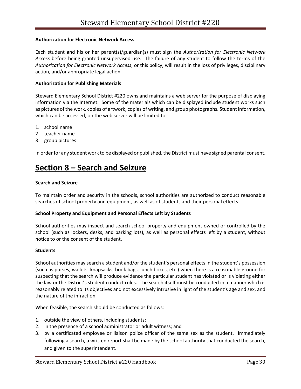### **Authorization for Electronic Network Access**

Each student and his or her parent(s)/guardian(s) must sign the *Authorization for Electronic Network Access* before being granted unsupervised use. The failure of any student to follow the terms of the *Authorization for Electronic Network Access*, or this policy, will result in the loss of privileges, disciplinary action, and/or appropriate legal action.

### **Authorization for Publishing Materials**

Steward Elementary School District #220 owns and maintains a web server for the purpose of displaying information via the Internet. Some of the materials which can be displayed include student works such as pictures of the work, copies of artwork, copies of writing, and group photographs. Student information, which can be accessed, on the web server will be limited to:

- 1. school name
- 2. teacher name
- 3. group pictures

In order for any student work to be displayed or published, the District must have signed parental consent.

### **Section 8 – Search and Seizure**

#### **Search and Seizure**

To maintain order and security in the schools, school authorities are authorized to conduct reasonable searches of school property and equipment, as well as of students and their personal effects.

### **School Property and Equipment and Personal Effects Left by Students**

School authorities may inspect and search school property and equipment owned or controlled by the school (such as lockers, desks, and parking lots), as well as personal effects left by a student, without notice to or the consent of the student.

#### **Students**

School authorities may search a student and/or the student's personal effects in the student's possession (such as purses, wallets, knapsacks, book bags, lunch boxes, etc.) when there is a reasonable ground for suspecting that the search will produce evidence the particular student has violated or is violating either the law or the District's student conduct rules. The search itself must be conducted in a manner which is reasonably related to its objectives and not excessively intrusive in light of the student's age and sex, and the nature of the infraction.

When feasible, the search should be conducted as follows:

- 1. outside the view of others, including students;
- 2. in the presence of a school administrator or adult witness; and
- 3. by a certificated employee or liaison police officer of the same sex as the student. Immediately following a search, a written report shall be made by the school authority that conducted the search, and given to the superintendent.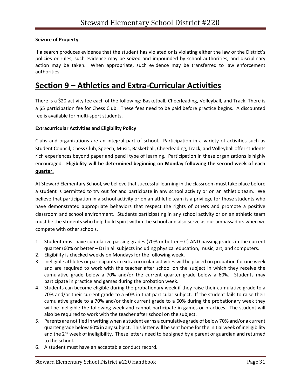### **Seizure of Property**

If a search produces evidence that the student has violated or is violating either the law or the District's policies or rules, such evidence may be seized and impounded by school authorities, and disciplinary action may be taken. When appropriate, such evidence may be transferred to law enforcement authorities.

### **Section 9 – Athletics and Extra-Curricular Activities**

There is a \$20 activity fee each of the following: Basketball, Cheerleading, Volleyball, and Track. There is a \$5 participation fee for Chess Club. These fees need to be paid before practice begins. A discounted fee is available for multi-sport students.

### **Extracurricular Activities and Eligibility Policy**

Clubs and organizations are an integral part of school. Participation in a variety of activities such as Student Council, Chess Club, Speech, Music, Basketball, Cheerleading, Track, and Volleyball offer students rich experiences beyond paper and pencil type of learning. Participation in these organizations is highly encouraged. **Eligibility will be determined beginning on Monday following the second week of each quarter.**

At Steward Elementary School, we believe that successful learning in the classroom must take place before a student is permitted to try out for and participate in any school activity or on an athletic team. We believe that participation in a school activity or on an athletic team is a privilege for those students who have demonstrated appropriate behaviors that respect the rights of others and promote a positive classroom and school environment. Students participating in any school activity or on an athletic team must be the students who help build spirit within the school and also serve as our ambassadors when we compete with other schools.

- 1. Student must have cumulative passing grades (70% or better  $-$  C) AND passing grades in the current quarter (60% or better – D) in all subjects including physical education, music, art, and computers.
- 2. Eligibility is checked weekly on Mondays for the following week.
- 3. Ineligible athletes or participants in extracurricular activities will be placed on probation for one week and are required to work with the teacher after school on the subject in which they receive the cumulative grade below a 70% and/or the current quarter grade below a 60%. Students may participate in practice and games during the probation week.
- 4. Students can become eligible during the probationary week if they raise their cumulative grade to a 70% and/or their current grade to a 60% in that particular subject. If the student fails to raise their cumulative grade to a 70% and/or their current grade to a 60% during the probationary week they will be ineligible the following week and cannot participate in games or practices. The student will also be required to work with the teacher after school on the subject.
- 5. Parents are notified in writing when a student earns a cumulative grade of below 70% and/or a current quarter grade below 60% in any subject. This letter will be sent home for the initial week of ineligibility and the 2<sup>nd</sup> week of ineligibility. These letters need to be signed by a parent or guardian and returned to the school.
- 6. A student must have an acceptable conduct record.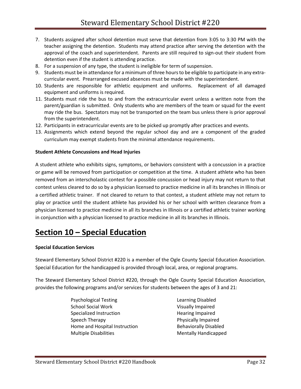- 7. Students assigned after school detention must serve that detention from 3:05 to 3:30 PM with the teacher assigning the detention. Students may attend practice after serving the detention with the approval of the coach and superintendent. Parents are still required to sign-out their student from detention even if the student is attending practice.
- 8. For a suspension of any type, the student is ineligible for term of suspension.
- 9. Students must be in attendance for a minimum of three hours to be eligible to participate in any extracurricular event. Prearranged excused absences must be made with the superintendent.
- 10. Students are responsible for athletic equipment and uniforms. Replacement of all damaged equipment and uniforms is required.
- 11. Students must ride the bus to and from the extracurricular event unless a written note from the parent/guardian is submitted. Only students who are members of the team or squad for the event may ride the bus. Spectators may not be transported on the team bus unless there is prior approval from the superintendent.
- 12. Participants in extracurricular events are to be picked up promptly after practices and events.
- 13. Assignments which extend beyond the regular school day and are a component of the graded curriculum may exempt students from the minimal attendance requirements.

### **Student Athlete Concussions and Head Injuries**

A student athlete who exhibits signs, symptoms, or behaviors consistent with a concussion in a practice or game will be removed from participation or competition at the time. A student athlete who has been removed from an interscholastic contest for a possible concussion or head injury may not return to that contest unless cleared to do so by a physician licensed to practice medicine in all its branches in Illinois or a certified athletic trainer. If not cleared to return to that contest, a student athlete may not return to play or practice until the student athlete has provided his or her school with written clearance from a physician licensed to practice medicine in all its branches in Illinois or a certified athletic trainer working in conjunction with a physician licensed to practice medicine in all its branches in Illinois.

### **Section 10 – Special Education**

### **Special Education Services**

Steward Elementary School District #220 is a member of the Ogle County Special Education Association. Special Education for the handicapped is provided through local, area, or regional programs.

The Steward Elementary School District #220, through the Ogle County Special Education Association, provides the following programs and/or services for students between the ages of 3 and 21:

- Psychological Testing Learning Disabled School Social Work Visually Impaired Specialized Instruction **Figure 1** Hearing Impaired Speech Therapy **Physically Impaired** Home and Hospital Instruction **Behaviorally Disabled** Multiple Disabilities Mentally Handicapped
	-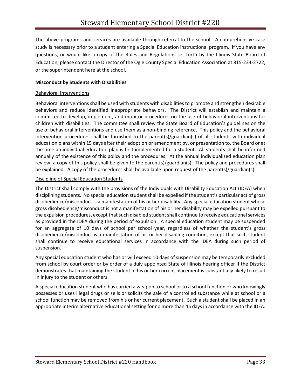The above programs and services are available through referral to the school. A comprehensive case study is necessary prior to a student entering a Special Education instructional program. If you have any questions, or would like a copy of the Rules and Regulations set forth by the Illinois State Board of Education, please contact the Director of the Ogle County Special Education Association at 815-234-2722, or the superintendent here at the school.

### **Misconduct by Students with Disabilities**

### Behavioral Interventions

Behavioral interventions shall be used with students with disabilities to promote and strengthen desirable behaviors and reduce identified inappropriate behaviors. The District will establish and maintain a committee to develop, implement, and monitor procedures on the use of behavioral interventions for children with disabilities. The committee shall review the State Board of Education's guidelines on the use of behavioral interventions and use them as a non-binding reference. This policy and the behavioral intervention procedures shall be furnished to the parent(s)/guardian(s) of all students with individual education plans within 15 days after their adoption or amendment by, or presentation to, the Board or at the time an individual education plan is first implemented for a student. All students shall be informed annually of the existence of this policy and the procedures. At the annual individualized education plan review, a copy of this policy shall be given to the parent(s)/guardian(s). The policy and procedures shall be explained. A copy of the procedures shall be available upon request of the parent(s)/guardian(s).

#### Discipline of Special Education Students

The District shall comply with the provisions of the Individuals with Disability Education Act (IDEA) when disciplining students. No special education student shall be expelled if the student's particular act of gross disobedience/misconduct is a manifestation of his or her disability. Any special education student whose gross disobedience/misconduct is not a manifestation of his or her disability may be expelled pursuant to the expulsion procedures, except that such disabled student shall continue to receive educational services as provided in the IDEA during the period of expulsion. A special education student may be suspended for an aggregate of 10 days of school per school year, regardless of whether the student's gross disobedience/misconduct is a manifestation of his or her disabling condition, except that such student shall continue to receive educational services in accordance with the IDEA during such period of suspension.

Any special education student who has or will exceed 10 days of suspension may be temporarily excluded from school by court order or by order of a duly appointed State of Illinois hearing officer if the District demonstrates that maintaining the student in his or her current placement is substantially likely to result in injury to the student or others.

A special education student who has carried a weapon to school or to a school function or who knowingly possesses or uses illegal drugs or sells or solicits the sale of a controlled substance while at school or a school function may be removed from his or her current placement. Such a student shall be placed in an appropriate interim alternative educational setting for no more than 45 days in accordance with the IDEA.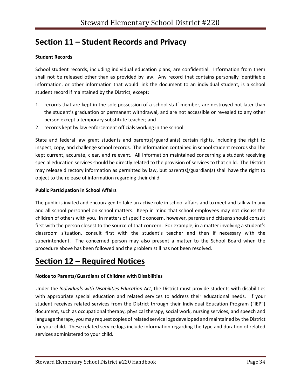### **Section 11 – Student Records and Privacy**

### **Student Records**

School student records, including individual education plans, are confidential. Information from them shall not be released other than as provided by law. Any record that contains personally identifiable information, or other information that would link the document to an individual student, is a school student record if maintained by the District, except:

- 1. records that are kept in the sole possession of a school staff member, are destroyed not later than the student's graduation or permanent withdrawal, and are not accessible or revealed to any other person except a temporary substitute teacher; and
- 2. records kept by law enforcement officials working in the school.

State and federal law grant students and parent(s)/guardian(s) certain rights, including the right to inspect, copy, and challenge school records. The information contained in school student records shall be kept current, accurate, clear, and relevant. All information maintained concerning a student receiving special education services should be directly related to the provision of services to that child. The District may release directory information as permitted by law, but parent(s)/guardian(s) shall have the right to object to the release of information regarding their child.

### **Public Participation in School Affairs**

The public is invited and encouraged to take an active role in school affairs and to meet and talk with any and all school personnel on school matters. Keep in mind that school employees may not discuss the children of others with you. In matters of specific concern, however, parents and citizens should consult first with the person closest to the source of that concern. For example, in a matter involving a student's classroom situation, consult first with the student's teacher and then if necessary with the superintendent. The concerned person may also present a matter to the School Board when the procedure above has been followed and the problem still has not been resolved.

### **Section 12 – Required Notices**

### **Notice to Parents/Guardians of Children with Disabilities**

Under the *Individuals with Disabilities Education Act*, the District must provide students with disabilities with appropriate special education and related services to address their educational needs. If your student receives related services from the District through their Individual Education Program ("IEP") document, such as occupational therapy, physical therapy, social work, nursing services, and speech and language therapy, you may request copies of related service logs developed and maintained by the District for your child. These related service logs include information regarding the type and duration of related services administered to your child.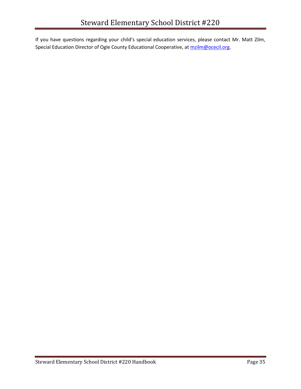If you have questions regarding your child's special education services, please contact Mr. Matt Zilm, Special Education Director of Ogle County Educational Cooperative, at [mzilm@ocecil.org.](mailto:mzilm@ocecil.org)